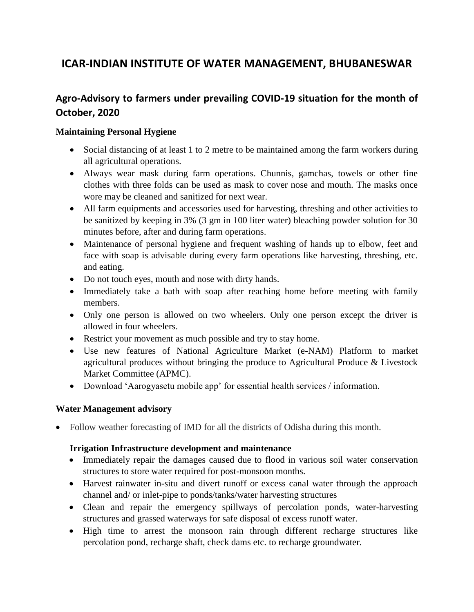# **ICAR-INDIAN INSTITUTE OF WATER MANAGEMENT, BHUBANESWAR**

## **Agro-Advisory to farmers under prevailing COVID-19 situation for the month of October, 2020**

## **Maintaining Personal Hygiene**

- Social distancing of at least 1 to 2 metre to be maintained among the farm workers during all agricultural operations.
- Always wear mask during farm operations. Chunnis, gamchas, towels or other fine clothes with three folds can be used as mask to cover nose and mouth. The masks once wore may be cleaned and sanitized for next wear.
- All farm equipments and accessories used for harvesting, threshing and other activities to be sanitized by keeping in 3% (3 gm in 100 liter water) bleaching powder solution for 30 minutes before, after and during farm operations.
- Maintenance of personal hygiene and frequent washing of hands up to elbow, feet and face with soap is advisable during every farm operations like harvesting, threshing, etc. and eating.
- Do not touch eyes, mouth and nose with dirty hands.
- Immediately take a bath with soap after reaching home before meeting with family members.
- Only one person is allowed on two wheelers. Only one person except the driver is allowed in four wheelers.
- Restrict your movement as much possible and try to stay home.
- Use new features of National Agriculture Market (e-NAM) Platform to market agricultural produces without bringing the produce to Agricultural Produce & Livestock Market Committee (APMC).
- Download 'Aarogyasetu mobile app' for essential health services / information.

### **Water Management advisory**

• Follow weather forecasting of IMD for all the districts of Odisha during this month.

### **Irrigation Infrastructure development and maintenance**

- Immediately repair the damages caused due to flood in various soil water conservation structures to store water required for post-monsoon months.
- Harvest rainwater in-situ and divert runoff or excess canal water through the approach channel and/ or inlet-pipe to ponds/tanks/water harvesting structures
- Clean and repair the emergency spillways of percolation ponds, water-harvesting structures and grassed waterways for safe disposal of excess runoff water.
- High time to arrest the monsoon rain through different recharge structures like percolation pond, recharge shaft, check dams etc. to recharge groundwater.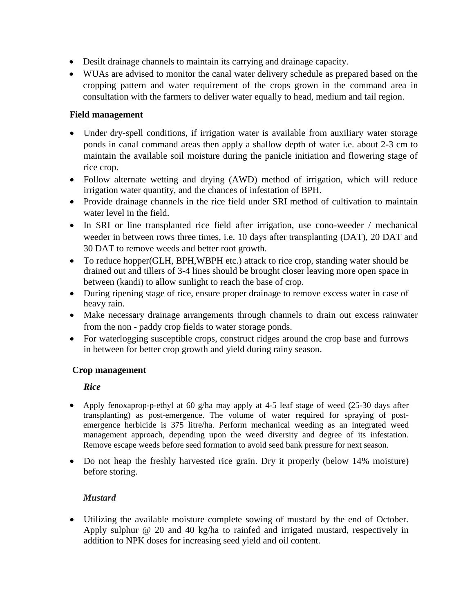- Desilt drainage channels to maintain its carrying and drainage capacity.
- WUAs are advised to monitor the canal water delivery schedule as prepared based on the cropping pattern and water requirement of the crops grown in the command area in consultation with the farmers to deliver water equally to head, medium and tail region.

#### **Field management**

- Under dry-spell conditions, if irrigation water is available from auxiliary water storage ponds in canal command areas then apply a shallow depth of water i.e. about 2-3 cm to maintain the available soil moisture during the panicle initiation and flowering stage of rice crop.
- Follow alternate wetting and drying (AWD) method of irrigation, which will reduce irrigation water quantity, and the chances of infestation of BPH.
- Provide drainage channels in the rice field under SRI method of cultivation to maintain water level in the field.
- In SRI or line transplanted rice field after irrigation, use cono-weeder / mechanical weeder in between rows three times, i.e. 10 days after transplanting (DAT), 20 DAT and 30 DAT to remove weeds and better root growth.
- To reduce hopper(GLH, BPH, WBPH etc.) attack to rice crop, standing water should be drained out and tillers of 3-4 lines should be brought closer leaving more open space in between (kandi) to allow sunlight to reach the base of crop.
- During ripening stage of rice, ensure proper drainage to remove excess water in case of heavy rain.
- Make necessary drainage arrangements through channels to drain out excess rainwater from the non - paddy crop fields to water storage ponds.
- For waterlogging susceptible crops, construct ridges around the crop base and furrows in between for better crop growth and yield during rainy season.

### **Crop management**

#### *Rice*

- Apply fenoxaprop-p-ethyl at 60 g/ha may apply at 4-5 leaf stage of weed (25-30 days after transplanting) as post-emergence. The volume of water required for spraying of postemergence herbicide is 375 litre/ha. Perform mechanical weeding as an integrated weed management approach, depending upon the weed diversity and degree of its infestation. Remove escape weeds before seed formation to avoid seed bank pressure for next season.
- Do not heap the freshly harvested rice grain. Dry it properly (below 14% moisture) before storing.

### *Mustard*

 Utilizing the available moisture complete sowing of mustard by the end of October. Apply sulphur @ 20 and 40 kg/ha to rainfed and irrigated mustard, respectively in addition to NPK doses for increasing seed yield and oil content.